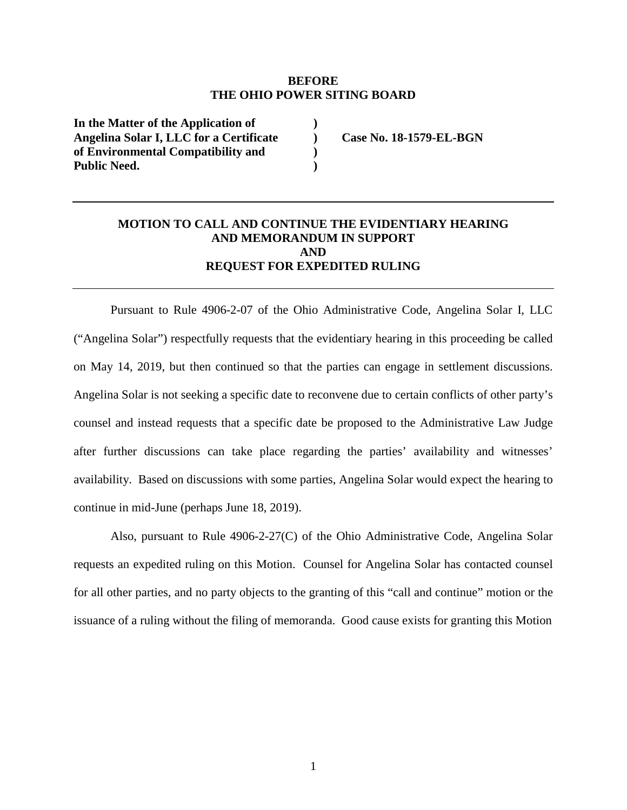#### **BEFORE THE OHIO POWER SITING BOARD**

**) ) ) )** 

**In the Matter of the Application of Angelina Solar I, LLC for a Certificate of Environmental Compatibility and Public Need.** 

**Case No. 18-1579-EL-BGN** 

### **MOTION TO CALL AND CONTINUE THE EVIDENTIARY HEARING AND MEMORANDUM IN SUPPORT AND REQUEST FOR EXPEDITED RULING**

Pursuant to Rule 4906-2-07 of the Ohio Administrative Code, Angelina Solar I, LLC ("Angelina Solar") respectfully requests that the evidentiary hearing in this proceeding be called on May 14, 2019, but then continued so that the parties can engage in settlement discussions. Angelina Solar is not seeking a specific date to reconvene due to certain conflicts of other party's counsel and instead requests that a specific date be proposed to the Administrative Law Judge after further discussions can take place regarding the parties' availability and witnesses' availability. Based on discussions with some parties, Angelina Solar would expect the hearing to continue in mid-June (perhaps June 18, 2019).

Also, pursuant to Rule 4906-2-27(C) of the Ohio Administrative Code, Angelina Solar requests an expedited ruling on this Motion. Counsel for Angelina Solar has contacted counsel for all other parties, and no party objects to the granting of this "call and continue" motion or the issuance of a ruling without the filing of memoranda. Good cause exists for granting this Motion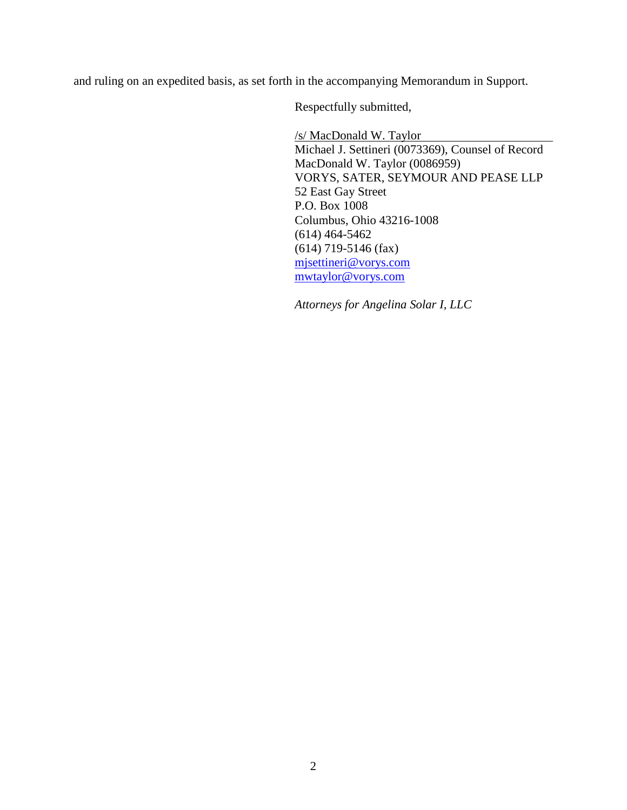and ruling on an expedited basis, as set forth in the accompanying Memorandum in Support.

Respectfully submitted,

/s/ MacDonald W. Taylor Michael J. Settineri (0073369), Counsel of Record MacDonald W. Taylor (0086959) VORYS, SATER, SEYMOUR AND PEASE LLP 52 East Gay Street P.O. Box 1008 Columbus, Ohio 43216-1008 (614) 464-5462 (614) 719-5146 (fax) mjsettineri@vorys.com mwtaylor@vorys.com

*Attorneys for Angelina Solar I, LLC*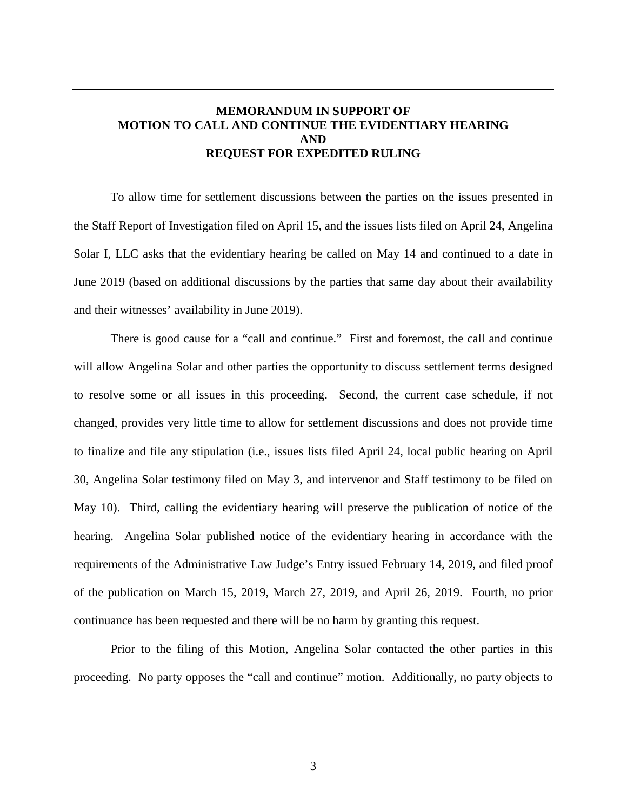## **MEMORANDUM IN SUPPORT OF MOTION TO CALL AND CONTINUE THE EVIDENTIARY HEARING AND REQUEST FOR EXPEDITED RULING**

To allow time for settlement discussions between the parties on the issues presented in the Staff Report of Investigation filed on April 15, and the issues lists filed on April 24, Angelina Solar I, LLC asks that the evidentiary hearing be called on May 14 and continued to a date in June 2019 (based on additional discussions by the parties that same day about their availability and their witnesses' availability in June 2019).

There is good cause for a "call and continue." First and foremost, the call and continue will allow Angelina Solar and other parties the opportunity to discuss settlement terms designed to resolve some or all issues in this proceeding. Second, the current case schedule, if not changed, provides very little time to allow for settlement discussions and does not provide time to finalize and file any stipulation (i.e., issues lists filed April 24, local public hearing on April 30, Angelina Solar testimony filed on May 3, and intervenor and Staff testimony to be filed on May 10). Third, calling the evidentiary hearing will preserve the publication of notice of the hearing. Angelina Solar published notice of the evidentiary hearing in accordance with the requirements of the Administrative Law Judge's Entry issued February 14, 2019, and filed proof of the publication on March 15, 2019, March 27, 2019, and April 26, 2019. Fourth, no prior continuance has been requested and there will be no harm by granting this request.

Prior to the filing of this Motion, Angelina Solar contacted the other parties in this proceeding. No party opposes the "call and continue" motion. Additionally, no party objects to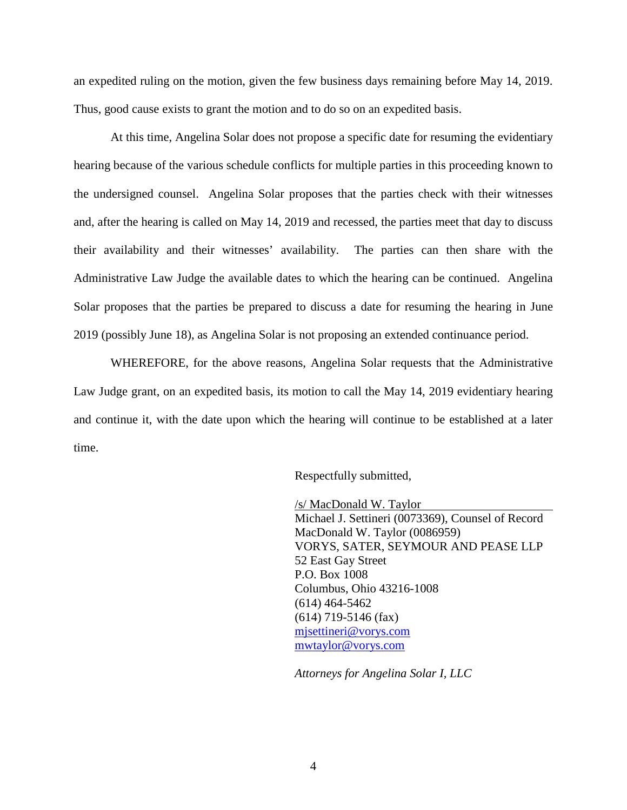an expedited ruling on the motion, given the few business days remaining before May 14, 2019. Thus, good cause exists to grant the motion and to do so on an expedited basis.

At this time, Angelina Solar does not propose a specific date for resuming the evidentiary hearing because of the various schedule conflicts for multiple parties in this proceeding known to the undersigned counsel. Angelina Solar proposes that the parties check with their witnesses and, after the hearing is called on May 14, 2019 and recessed, the parties meet that day to discuss their availability and their witnesses' availability. The parties can then share with the Administrative Law Judge the available dates to which the hearing can be continued. Angelina Solar proposes that the parties be prepared to discuss a date for resuming the hearing in June 2019 (possibly June 18), as Angelina Solar is not proposing an extended continuance period.

WHEREFORE, for the above reasons, Angelina Solar requests that the Administrative Law Judge grant, on an expedited basis, its motion to call the May 14, 2019 evidentiary hearing and continue it, with the date upon which the hearing will continue to be established at a later time.

Respectfully submitted,

/s/ MacDonald W. Taylor Michael J. Settineri (0073369), Counsel of Record MacDonald W. Taylor (0086959) VORYS, SATER, SEYMOUR AND PEASE LLP 52 East Gay Street P.O. Box 1008 Columbus, Ohio 43216-1008 (614) 464-5462 (614) 719-5146 (fax) mjsettineri@vorys.com mwtaylor@vorys.com

*Attorneys for Angelina Solar I, LLC*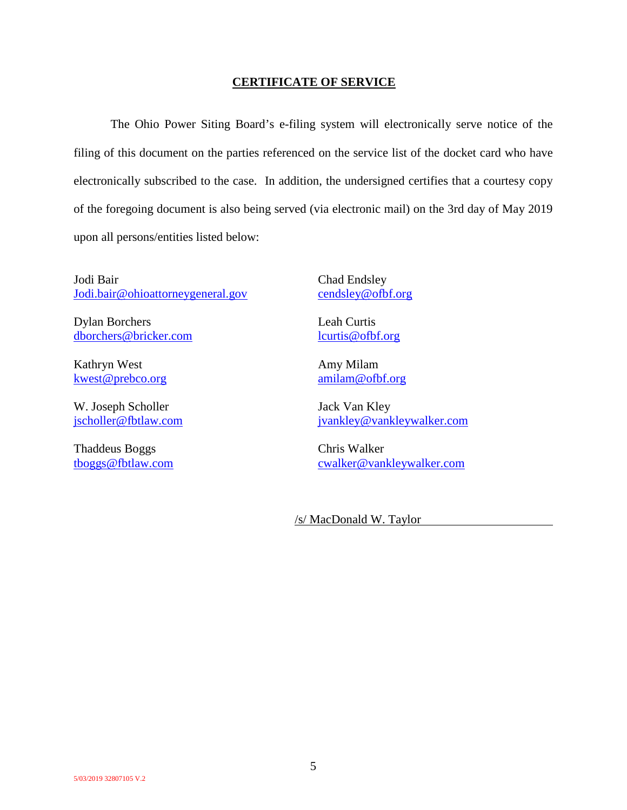#### **CERTIFICATE OF SERVICE**

The Ohio Power Siting Board's e-filing system will electronically serve notice of the filing of this document on the parties referenced on the service list of the docket card who have electronically subscribed to the case. In addition, the undersigned certifies that a courtesy copy of the foregoing document is also being served (via electronic mail) on the 3rd day of May 2019 upon all persons/entities listed below:

Jodi Bair Jodi.bair@ohioattorneygeneral.gov

Dylan Borchers dborchers@bricker.com

Kathryn West kwest@prebco.org

W. Joseph Scholler jscholler@fbtlaw.com

Thaddeus Boggs tboggs@fbtlaw.com Chad Endsley cendsley@ofbf.org

Leah Curtis lcurtis@ofbf.org

Amy Milam amilam@ofbf.org

Jack Van Kley jvankley@vankleywalker.com

Chris Walker cwalker@vankleywalker.com

/s/ MacDonald W. Taylor